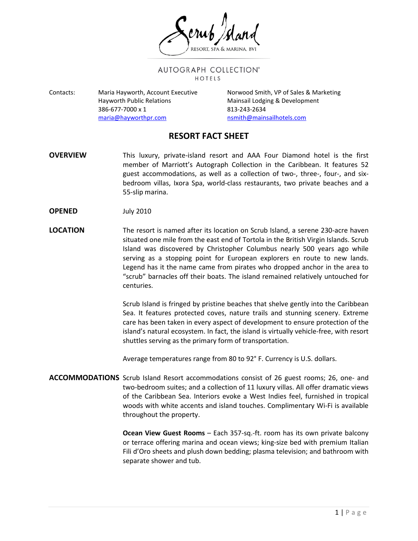AUTOGRAPH COLLECTION® HOTELS

Contacts: Maria Hayworth, Account Executive Norwood Smith, VP of Sales & Marketing Hayworth Public Relations **Mainsail Lodging & Development** 386-677-7000 x 1 813-243-2634 [maria@hayworthpr.com](mailto:maria@hayworthpr.com) [nsmith@mainsailhotels.com](mailto:nsmith@mainsailhotels.com)

## **RESORT FACT SHEET**

- **OVERVIEW** This luxury, private-island resort and AAA Four Diamond hotel is the first member of Marriott's Autograph Collection in the Caribbean. It features 52 guest accommodations, as well as a collection of two-, three-, four-, and sixbedroom villas, Ixora Spa, world-class restaurants, two private beaches and a 55-slip marina.
- **OPENED** July 2010
- **LOCATION** The resort is named after its location on Scrub Island, a serene 230-acre haven situated one mile from the east end of Tortola in the British Virgin Islands. Scrub Island was discovered by Christopher Columbus nearly 500 years ago while serving as a stopping point for European explorers en route to new lands. Legend has it the name came from pirates who dropped anchor in the area to "scrub" barnacles off their boats. The island remained relatively untouched for centuries.

Scrub Island is fringed by pristine beaches that shelve gently into the Caribbean Sea. It features protected coves, nature trails and stunning scenery. Extreme care has been taken in every aspect of development to ensure protection of the island's natural ecosystem. In fact, the island is virtually vehicle-free, with resort shuttles serving as the primary form of transportation.

Average temperatures range from 80 to 92° F. Currency is U.S. dollars.

**ACCOMMODATIONS** Scrub Island Resort accommodations consist of 26 guest rooms; 26, one- and two-bedroom suites; and a collection of 11 luxury villas. All offer dramatic views of the Caribbean Sea. Interiors evoke a West Indies feel, furnished in tropical woods with white accents and island touches. Complimentary Wi-Fi is available throughout the property.

> **Ocean View Guest Rooms** – Each 357-sq.-ft. room has its own private balcony or terrace offering marina and ocean views; king-size bed with premium Italian Fili d'Oro sheets and plush down bedding; plasma television; and bathroom with separate shower and tub.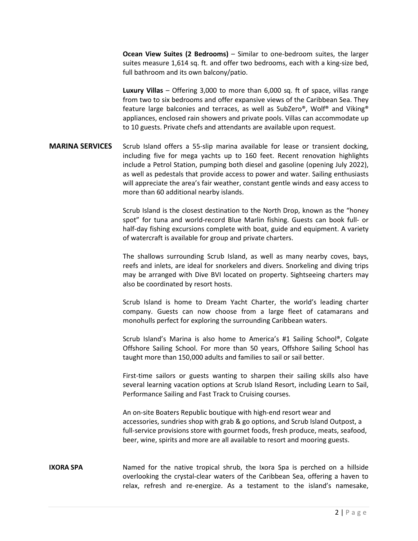**Ocean View Suites (2 Bedrooms)** – Similar to one-bedroom suites, the larger suites measure 1,614 sq. ft. and offer two bedrooms, each with a king-size bed, full bathroom and its own balcony/patio.

**Luxury Villas** – Offering 3,000 to more than 6,000 sq. ft of space, villas range from two to six bedrooms and offer expansive views of the Caribbean Sea. They feature large balconies and terraces, as well as SubZero®, Wolf® and Viking® appliances, enclosed rain showers and private pools. Villas can accommodate up to 10 guests. Private chefs and attendants are available upon request.

## **MARINA SERVICES** Scrub Island offers a 55-slip marina available for lease or transient docking, including five for mega yachts up to 160 feet. Recent renovation highlights include a Petrol Station, pumping both diesel and gasoline (opening July 2022), as well as pedestals that provide access to power and water. Sailing enthusiasts will appreciate the area's fair weather, constant gentle winds and easy access to more than 60 additional nearby islands.

Scrub Island is the closest destination to the North Drop, known as the "honey spot" for tuna and world-record Blue Marlin fishing. Guests can book full- or half-day fishing excursions complete with boat, guide and equipment. A variety of watercraft is available for group and private charters.

The shallows surrounding Scrub Island, as well as many nearby coves, bays, reefs and inlets, are ideal for snorkelers and divers. Snorkeling and diving trips may be arranged with Dive BVI located on property. Sightseeing charters may also be coordinated by resort hosts.

Scrub Island is home to Dream Yacht Charter, the world's leading charter company. Guests can now choose from a large fleet of catamarans and monohulls perfect for exploring the surrounding Caribbean waters.

Scrub Island's Marina is also home to America's #1 Sailing School®, Colgate Offshore Sailing School. For more than 50 years, Offshore Sailing School has taught more than 150,000 adults and families to sail or sail better.

First-time sailors or guests wanting to sharpen their sailing skills also have several learning vacation options at Scrub Island Resort, including Learn to Sail, Performance Sailing and Fast Track to Cruising courses.

An on-site Boaters Republic boutique with high-end resort wear and accessories, sundries shop with grab & go options, and Scrub Island Outpost, a full-service provisions store with gourmet foods, fresh produce, meats, seafood, beer, wine, spirits and more are all available to resort and mooring guests.

## **IXORA SPA** Named for the native tropical shrub, the Ixora Spa is perched on a hillside overlooking the crystal-clear waters of the Caribbean Sea, offering a haven to relax, refresh and re-energize. As a testament to the island's namesake,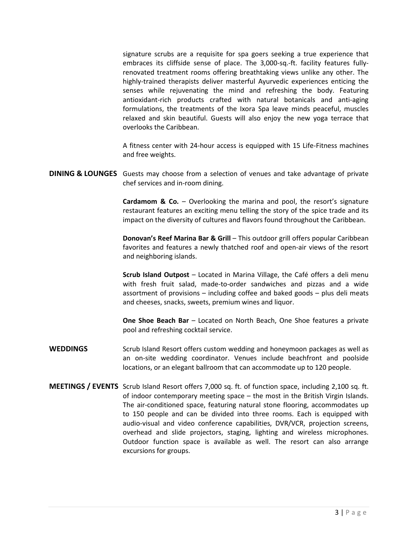signature scrubs are a requisite for spa goers seeking a true experience that embraces its cliffside sense of place. The 3,000-sq.-ft. facility features fullyrenovated treatment rooms offering breathtaking views unlike any other. The highly-trained therapists deliver masterful Ayurvedic experiences enticing the senses while rejuvenating the mind and refreshing the body. Featuring antioxidant-rich products crafted with natural botanicals and anti-aging formulations, the treatments of the Ixora Spa leave minds peaceful, muscles relaxed and skin beautiful. Guests will also enjoy the new yoga terrace that overlooks the Caribbean.

A fitness center with 24-hour access is equipped with 15 Life-Fitness machines and free weights.

**DINING & LOUNGES** Guests may choose from a selection of venues and take advantage of private chef services and in-room dining.

> **Cardamom & Co.** – Overlooking the marina and pool, the resort's signature restaurant features an exciting menu telling the story of the spice trade and its impact on the diversity of cultures and flavors found throughout the Caribbean.

> **Donovan's Reef Marina Bar & Grill** – This outdoor grill offers popular Caribbean favorites and features a newly thatched roof and open-air views of the resort and neighboring islands.

> **Scrub Island Outpost** – Located in Marina Village, the Café offers a deli menu with fresh fruit salad, made-to-order sandwiches and pizzas and a wide assortment of provisions – including coffee and baked goods – plus deli meats and cheeses, snacks, sweets, premium wines and liquor.

> **One Shoe Beach Bar** – Located on North Beach, One Shoe features a private pool and refreshing cocktail service.

- WEDDINGS Scrub Island Resort offers custom wedding and honeymoon packages as well as an on-site wedding coordinator. Venues include beachfront and poolside locations, or an elegant ballroom that can accommodate up to 120 people.
- **MEETINGS / EVENTS** Scrub Island Resort offers 7,000 sq. ft. of function space, including 2,100 sq. ft. of indoor contemporary meeting space – the most in the British Virgin Islands. The air-conditioned space, featuring natural stone flooring, accommodates up to 150 people and can be divided into three rooms. Each is equipped with audio-visual and video conference capabilities, DVR/VCR, projection screens, overhead and slide projectors, staging, lighting and wireless microphones. Outdoor function space is available as well. The resort can also arrange excursions for groups.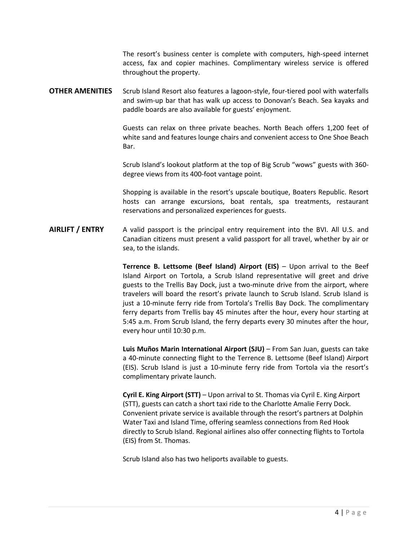The resort's business center is complete with computers, high-speed internet access, fax and copier machines. Complimentary wireless service is offered throughout the property.

**OTHER AMENITIES** Scrub Island Resort also features a lagoon-style, four-tiered pool with waterfalls and swim-up bar that has walk up access to Donovan's Beach. Sea kayaks and paddle boards are also available for guests' enjoyment.

> Guests can relax on three private beaches. North Beach offers 1,200 feet of white sand and features lounge chairs and convenient access to One Shoe Beach Bar.

> Scrub Island's lookout platform at the top of Big Scrub "wows" guests with 360 degree views from its 400-foot vantage point.

> Shopping is available in the resort's upscale boutique, Boaters Republic. Resort hosts can arrange excursions, boat rentals, spa treatments, restaurant reservations and personalized experiences for guests.

## **AIRLIFT / ENTRY** A valid passport is the principal entry requirement into the BVI. All U.S. and Canadian citizens must present a valid passport for all travel, whether by air or sea, to the islands.

**Terrence B. Lettsome (Beef Island) Airport (EIS)** – Upon arrival to the Beef Island Airport on Tortola, a Scrub Island representative will greet and drive guests to the Trellis Bay Dock, just a two-minute drive from the airport, where travelers will board the resort's private launch to Scrub Island. Scrub Island is just a 10-minute ferry ride from Tortola's Trellis Bay Dock. The complimentary ferry departs from Trellis bay 45 minutes after the hour, every hour starting at 5:45 a.m. From Scrub Island, the ferry departs every 30 minutes after the hour, every hour until 10:30 p.m.

**Luis Muños Marin International Airport (SJU)** – From San Juan, guests can take a 40-minute connecting flight to the Terrence B. Lettsome (Beef Island) Airport (EIS). Scrub Island is just a 10-minute ferry ride from Tortola via the resort's complimentary private launch.

**Cyril E. King Airport (STT)** – Upon arrival to St. Thomas via Cyril E. King Airport (STT), guests can catch a short taxi ride to the Charlotte Amalie Ferry Dock. Convenient private service is available through the resort's partners at Dolphin Water Taxi and Island Time, offering seamless connections from Red Hook directly to Scrub Island. Regional airlines also offer connecting flights to Tortola (EIS) from St. Thomas.

Scrub Island also has two heliports available to guests.